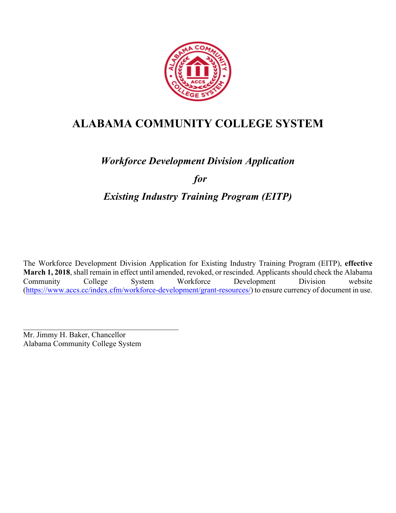

# **ALABAMA COMMUNITY COLLEGE SYSTEM**

# *Workforce Development Division Application*

*for*

# *Existing Industry Training Program (EITP)*

The Workforce Development Division Application for Existing Industry Training Program (EITP), **effective March 1, 2018**, shall remain in effect until amended, revoked, or rescinded. Applicants should check the Alabama Community College System Workforce Development Division website (https://www.accs.cc/index.cfm/workforce-development/grant-resources/) to ensure currency of document in use.

 $\mathcal{L}_\text{max}$  , and the contract of the contract of the contract of the contract of the contract of the contract of the contract of the contract of the contract of the contract of the contract of the contract of the contr Mr. Jimmy H. Baker, Chancellor Alabama Community College System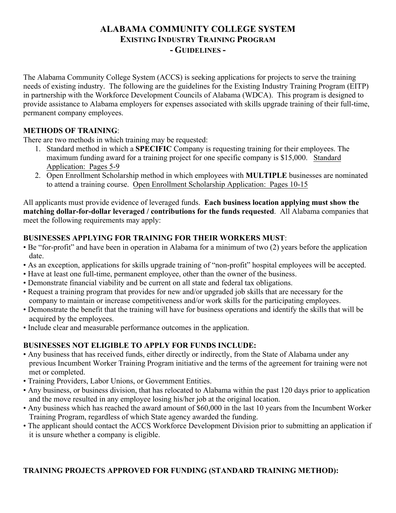# **ALABAMA COMMUNITY COLLEGE SYSTEM EXISTING INDUSTRY TRAINING PROGRAM - GUIDELINES -**

The Alabama Community College System (ACCS) is seeking applications for projects to serve the training needs of existing industry. The following are the guidelines for the Existing Industry Training Program (EITP) in partnership with the Workforce Development Councils of Alabama (WDCA). This program is designed to provide assistance to Alabama employers for expenses associated with skills upgrade training of their full-time, permanent company employees.

# **METHODS OF TRAINING**:

There are two methods in which training may be requested:

- 1. Standard method in which a **SPECIFIC** Company is requesting training for their employees. The maximum funding award for a training project for one specific company is \$15,000. Standard Application: Pages 5-9
- 2. Open Enrollment Scholarship method in which employees with **MULTIPLE** businesses are nominated to attend a training course. Open Enrollment Scholarship Application: Pages 10-15

All applicants must provide evidence of leveraged funds. **Each business location applying must show the matching dollar-for-dollar leveraged / contributions for the funds requested**. All Alabama companies that meet the following requirements may apply:

# **BUSINESSES APPLYING FOR TRAINING FOR THEIR WORKERS MUST**:

- Be "for-profit" and have been in operation in Alabama for a minimum of two (2) years before the application date.
- As an exception, applications for skills upgrade training of "non-profit" hospital employees will be accepted.
- Have at least one full-time, permanent employee, other than the owner of the business.
- Demonstrate financial viability and be current on all state and federal tax obligations.
- Request a training program that provides for new and/or upgraded job skills that are necessary for the company to maintain or increase competitiveness and/or work skills for the participating employees.
- Demonstrate the benefit that the training will have for business operations and identify the skills that will be acquired by the employees.
- Include clear and measurable performance outcomes in the application.

# **BUSINESSES NOT ELIGIBLE TO APPLY FOR FUNDS INCLUDE:**

- Any business that has received funds, either directly or indirectly, from the State of Alabama under any previous Incumbent Worker Training Program initiative and the terms of the agreement for training were not met or completed.
- Training Providers, Labor Unions, or Government Entities.
- Any business, or business division, that has relocated to Alabama within the past 120 days prior to application and the move resulted in any employee losing his/her job at the original location.
- Any business which has reached the award amount of \$60,000 in the last 10 years from the Incumbent Worker Training Program, regardless of which State agency awarded the funding.
- The applicant should contact the ACCS Workforce Development Division prior to submitting an application if it is unsure whether a company is eligible.

# **TRAINING PROJECTS APPROVED FOR FUNDING (STANDARD TRAINING METHOD):**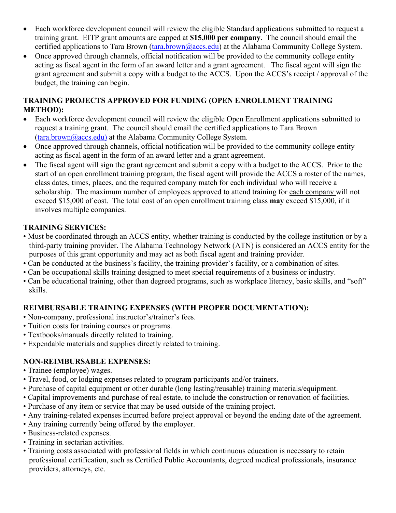- Each workforce development council will review the eligible Standard applications submitted to request a training grant. EITP grant amounts are capped at **\$15,000 per company**. The council should email the certified applications to Tara Brown (tara.brown@accs.edu) at the Alabama Community College System.
- Once approved through channels, official notification will be provided to the community college entity acting as fiscal agent in the form of an award letter and a grant agreement. The fiscal agent will sign the grant agreement and submit a copy with a budget to the ACCS. Upon the ACCS's receipt / approval of the budget, the training can begin.

# **TRAINING PROJECTS APPROVED FOR FUNDING (OPEN ENROLLMENT TRAINING METHOD):**

- Each workforce development council will review the eligible Open Enrollment applications submitted to request a training grant. The council should email the certified applications to Tara Brown  $(tara.brown@access.edu)$  at the Alabama Community College System.
- Once approved through channels, official notification will be provided to the community college entity acting as fiscal agent in the form of an award letter and a grant agreement.
- The fiscal agent will sign the grant agreement and submit a copy with a budget to the ACCS. Prior to the start of an open enrollment training program, the fiscal agent will provide the ACCS a roster of the names, class dates, times, places, and the required company match for each individual who will receive a scholarship. The maximum number of employees approved to attend training for each company will not exceed \$15,000 of cost. The total cost of an open enrollment training class **may** exceed \$15,000, if it involves multiple companies.

# **TRAINING SERVICES:**

- Must be coordinated through an ACCS entity, whether training is conducted by the college institution or by a third-party training provider. The Alabama Technology Network (ATN) is considered an ACCS entity for the purposes of this grant opportunity and may act as both fiscal agent and training provider.
- Can be conducted at the business's facility, the training provider's facility, or a combination of sites.
- Can be occupational skills training designed to meet special requirements of a business or industry.
- Can be educational training, other than degreed programs, such as workplace literacy, basic skills, and "soft" skills.

# **REIMBURSABLE TRAINING EXPENSES (WITH PROPER DOCUMENTATION):**

- Non-company, professional instructor's/trainer's fees.
- Tuition costs for training courses or programs.
- Textbooks/manuals directly related to training.
- Expendable materials and supplies directly related to training.

# **NON-REIMBURSABLE EXPENSES:**

- Trainee (employee) wages.
- Travel, food, or lodging expenses related to program participants and/or trainers.
- Purchase of capital equipment or other durable (long lasting/reusable) training materials/equipment.
- Capital improvements and purchase of real estate, to include the construction or renovation of facilities.
- Purchase of any item or service that may be used outside of the training project.
- Any training-related expenses incurred before project approval or beyond the ending date of the agreement.
- Any training currently being offered by the employer.
- Business-related expenses.
- Training in sectarian activities.
- Training costs associated with professional fields in which continuous education is necessary to retain professional certification, such as Certified Public Accountants, degreed medical professionals, insurance providers, attorneys, etc.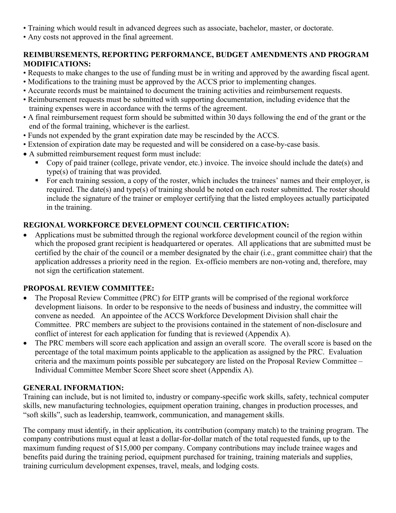- Training which would result in advanced degrees such as associate, bachelor, master, or doctorate.
- Any costs not approved in the final agreement.

# **REIMBURSEMENTS, REPORTING PERFORMANCE, BUDGET AMENDMENTS AND PROGRAM MODIFICATIONS:**

- Requests to make changes to the use of funding must be in writing and approved by the awarding fiscal agent.
- Modifications to the training must be approved by the ACCS prior to implementing changes.
- Accurate records must be maintained to document the training activities and reimbursement requests.
- Reimbursement requests must be submitted with supporting documentation, including evidence that the training expenses were in accordance with the terms of the agreement.
- A final reimbursement request form should be submitted within 30 days following the end of the grant or the end of the formal training, whichever is the earliest.
- Funds not expended by the grant expiration date may be rescinded by the ACCS.
- Extension of expiration date may be requested and will be considered on a case-by-case basis.
- A submitted reimbursement request form must include:
	- § Copy of paid trainer (college, private vendor, etc.) invoice. The invoice should include the date(s) and type(s) of training that was provided.
	- For each training session, a copy of the roster, which includes the trainees' names and their employer, is required. The date(s) and type(s) of training should be noted on each roster submitted. The roster should include the signature of the trainer or employer certifying that the listed employees actually participated in the training.

# **REGIONAL WORKFORCE DEVELOPMENT COUNCIL CERTIFICATION:**

• Applications must be submitted through the regional workforce development council of the region within which the proposed grant recipient is headquartered or operates. All applications that are submitted must be certified by the chair of the council or a member designated by the chair (i.e., grant committee chair) that the application addresses a priority need in the region. Ex-officio members are non-voting and, therefore, may not sign the certification statement.

# **PROPOSAL REVIEW COMMITTEE:**

- The Proposal Review Committee (PRC) for EITP grants will be comprised of the regional workforce development liaisons. In order to be responsive to the needs of business and industry, the committee will convene as needed. An appointee of the ACCS Workforce Development Division shall chair the Committee. PRC members are subject to the provisions contained in the statement of non-disclosure and conflict of interest for each application for funding that is reviewed (Appendix A).
- The PRC members will score each application and assign an overall score. The overall score is based on the percentage of the total maximum points applicable to the application as assigned by the PRC. Evaluation criteria and the maximum points possible per subcategory are listed on the Proposal Review Committee – Individual Committee Member Score Sheet score sheet (Appendix A).

# **GENERAL INFORMATION:**

Training can include, but is not limited to, industry or company-specific work skills, safety, technical computer skills, new manufacturing technologies, equipment operation training, changes in production processes, and "soft skills", such as leadership, teamwork, communication, and management skills.

The company must identify, in their application, its contribution (company match) to the training program. The company contributions must equal at least a dollar-for-dollar match of the total requested funds, up to the maximum funding request of \$15,000 per company. Company contributions may include trainee wages and benefits paid during the training period, equipment purchased for training, training materials and supplies, training curriculum development expenses, travel, meals, and lodging costs.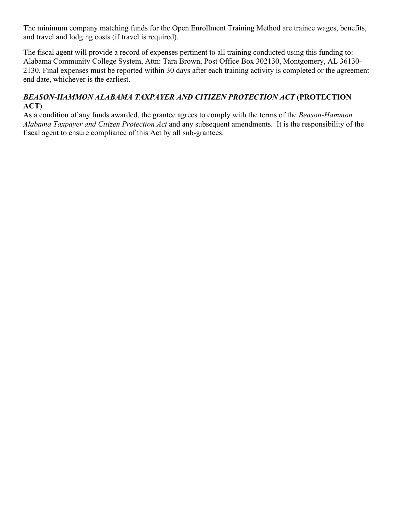The minimum company matching funds for the Open Enrollment Training Method are trainee wages, benefits, and travel and lodging costs (if travel is required).

The fiscal agent will provide a record of expenses pertinent to all training conducted using this funding to: Alabama Community College System, Attn: Tara Brown, Post Office Box 302130, Montgomery, AL 36130- 2130. Final expenses must be reported within 30 days after each training activity is completed or the agreement end date, whichever is the earliest.

# *BEASON-HAMMON ALABAMA TAXPAYER AND CITIZEN PROTECTION ACT* **(PROTECTION ACT)**

As a condition of any funds awarded, the grantee agrees to comply with the terms of the *Beason-Hammon Alabama Taxpayer and Citizen Protection Act* and any subsequent amendments. It is the responsibility of the fiscal agent to ensure compliance of this Act by all sub-grantees.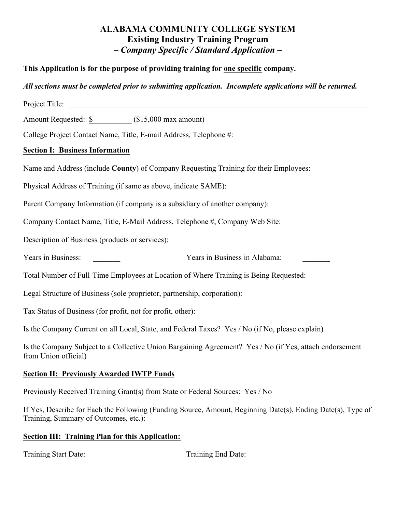# **ALABAMA COMMUNITY COLLEGE SYSTEM Existing Industry Training Program –** *Company Specific / Standard Application* **–**

# **This Application is for the purpose of providing training for one specific company.**

# *All sections must be completed prior to submitting application. Incomplete applications will be returned.*

| Project Title:                                                                                                                                       |
|------------------------------------------------------------------------------------------------------------------------------------------------------|
| Amount Requested: \$ (\$15,000 max amount)                                                                                                           |
| College Project Contact Name, Title, E-mail Address, Telephone #:                                                                                    |
| <b>Section I: Business Information</b>                                                                                                               |
| Name and Address (include County) of Company Requesting Training for their Employees:                                                                |
| Physical Address of Training (if same as above, indicate SAME):                                                                                      |
| Parent Company Information (if company is a subsidiary of another company):                                                                          |
| Company Contact Name, Title, E-Mail Address, Telephone #, Company Web Site:                                                                          |
| Description of Business (products or services):                                                                                                      |
| Years in Business:<br>Years in Business in Alabama:                                                                                                  |
| Total Number of Full-Time Employees at Location of Where Training is Being Requested:                                                                |
| Legal Structure of Business (sole proprietor, partnership, corporation):                                                                             |
| Tax Status of Business (for profit, not for profit, other):                                                                                          |
| Is the Company Current on all Local, State, and Federal Taxes? Yes / No (if No, please explain)                                                      |
| Is the Company Subject to a Collective Union Bargaining Agreement? Yes / No (if Yes, attach endorsement<br>from Union official)                      |
| <b>Section II: Previously Awarded IWTP Funds</b>                                                                                                     |
| Previously Received Training Grant(s) from State or Federal Sources: Yes / No                                                                        |
| If Yes, Describe for Each the Following (Funding Source, Amount, Beginning Date(s), Ending Date(s), Type of<br>Training, Summary of Outcomes, etc.): |
| <b>Section III: Training Plan for this Application:</b>                                                                                              |
| Training Start Date:<br>Training End Date:                                                                                                           |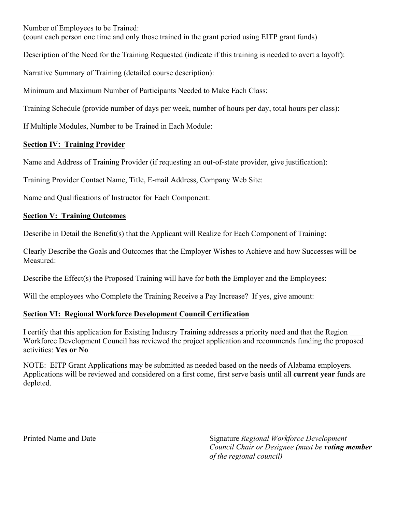Number of Employees to be Trained:

(count each person one time and only those trained in the grant period using EITP grant funds)

Description of the Need for the Training Requested (indicate if this training is needed to avert a layoff):

Narrative Summary of Training (detailed course description):

Minimum and Maximum Number of Participants Needed to Make Each Class:

Training Schedule (provide number of days per week, number of hours per day, total hours per class):

If Multiple Modules, Number to be Trained in Each Module:

# **Section IV: Training Provider**

Name and Address of Training Provider (if requesting an out-of-state provider, give justification):

Training Provider Contact Name, Title, E-mail Address, Company Web Site:

Name and Qualifications of Instructor for Each Component:

# **Section V: Training Outcomes**

Describe in Detail the Benefit(s) that the Applicant will Realize for Each Component of Training:

Clearly Describe the Goals and Outcomes that the Employer Wishes to Achieve and how Successes will be Measured:

Describe the Effect(s) the Proposed Training will have for both the Employer and the Employees:

Will the employees who Complete the Training Receive a Pay Increase? If yes, give amount:

# **Section VI: Regional Workforce Development Council Certification**

I certify that this application for Existing Industry Training addresses a priority need and that the Region Workforce Development Council has reviewed the project application and recommends funding the proposed activities: **Yes or No**

NOTE: EITP Grant Applications may be submitted as needed based on the needs of Alabama employers. Applications will be reviewed and considered on a first come, first serve basis until all **current year** funds are depleted.

 $\mathcal{L}_\mathcal{L} = \mathcal{L}_\mathcal{L} = \mathcal{L}_\mathcal{L} = \mathcal{L}_\mathcal{L} = \mathcal{L}_\mathcal{L} = \mathcal{L}_\mathcal{L} = \mathcal{L}_\mathcal{L} = \mathcal{L}_\mathcal{L} = \mathcal{L}_\mathcal{L} = \mathcal{L}_\mathcal{L} = \mathcal{L}_\mathcal{L} = \mathcal{L}_\mathcal{L} = \mathcal{L}_\mathcal{L} = \mathcal{L}_\mathcal{L} = \mathcal{L}_\mathcal{L} = \mathcal{L}_\mathcal{L} = \mathcal{L}_\mathcal{L}$ 

Printed Name and Date Signature *Regional Workforce Development* **Signature** *Regional Workforce Development Council Chair or Designee (must be voting member of the regional council)*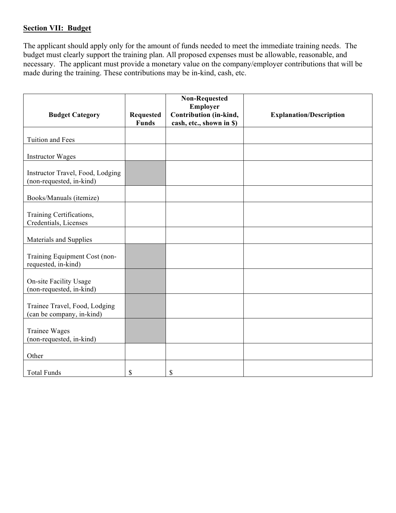## **Section VII: Budget**

The applicant should apply only for the amount of funds needed to meet the immediate training needs. The budget must clearly support the training plan. All proposed expenses must be allowable, reasonable, and necessary. The applicant must provide a monetary value on the company/employer contributions that will be made during the training. These contributions may be in-kind, cash, etc.

| <b>Budget Category</b>                                       | <b>Requested</b><br><b>Funds</b> | <b>Non-Requested</b><br>Employer<br>Contribution (in-kind,<br>cash, etc., shown in \$) | <b>Explanation/Description</b> |
|--------------------------------------------------------------|----------------------------------|----------------------------------------------------------------------------------------|--------------------------------|
| Tuition and Fees                                             |                                  |                                                                                        |                                |
| <b>Instructor Wages</b>                                      |                                  |                                                                                        |                                |
| Instructor Travel, Food, Lodging<br>(non-requested, in-kind) |                                  |                                                                                        |                                |
| Books/Manuals (itemize)                                      |                                  |                                                                                        |                                |
| Training Certifications,<br>Credentials, Licenses            |                                  |                                                                                        |                                |
| Materials and Supplies                                       |                                  |                                                                                        |                                |
| Training Equipment Cost (non-<br>requested, in-kind)         |                                  |                                                                                        |                                |
| <b>On-site Facility Usage</b><br>(non-requested, in-kind)    |                                  |                                                                                        |                                |
| Trainee Travel, Food, Lodging<br>(can be company, in-kind)   |                                  |                                                                                        |                                |
| <b>Trainee Wages</b><br>(non-requested, in-kind)             |                                  |                                                                                        |                                |
| Other                                                        |                                  |                                                                                        |                                |
| <b>Total Funds</b>                                           | \$                               | \$                                                                                     |                                |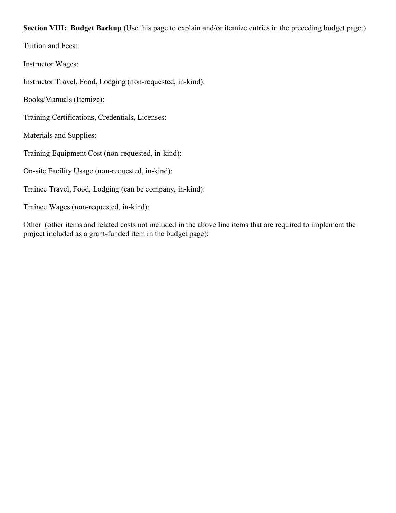**Section VIII: Budget Backup** (Use this page to explain and/or itemize entries in the preceding budget page.)

Tuition and Fees:

Instructor Wages:

Instructor Travel, Food, Lodging (non-requested, in-kind):

Books/Manuals (Itemize):

Training Certifications, Credentials, Licenses:

Materials and Supplies:

Training Equipment Cost (non-requested, in-kind):

On-site Facility Usage (non-requested, in-kind):

Trainee Travel, Food, Lodging (can be company, in-kind):

Trainee Wages (non-requested, in-kind):

Other (other items and related costs not included in the above line items that are required to implement the project included as a grant-funded item in the budget page):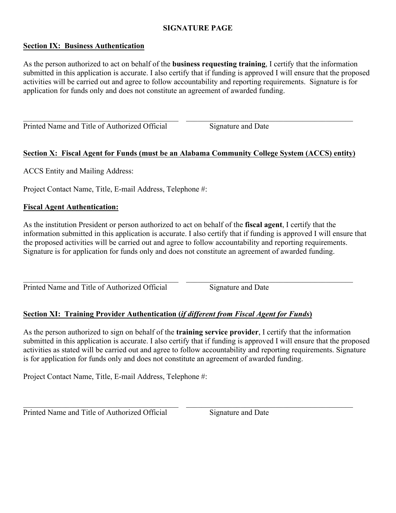### **SIGNATURE PAGE**

#### **Section IX: Business Authentication**

As the person authorized to act on behalf of the **business requesting training**, I certify that the information submitted in this application is accurate. I also certify that if funding is approved I will ensure that the proposed activities will be carried out and agree to follow accountability and reporting requirements. Signature is for application for funds only and does not constitute an agreement of awarded funding.

 $\_$  , and the contribution of the contribution of  $\mathcal{L}_\mathcal{A}$  , and the contribution of  $\mathcal{L}_\mathcal{A}$ Printed Name and Title of Authorized Official Signature and Date

## **Section X: Fiscal Agent for Funds (must be an Alabama Community College System (ACCS) entity)**

ACCS Entity and Mailing Address:

Project Contact Name, Title, E-mail Address, Telephone #:

## **Fiscal Agent Authentication:**

As the institution President or person authorized to act on behalf of the **fiscal agent**, I certify that the information submitted in this application is accurate. I also certify that if funding is approved I will ensure that the proposed activities will be carried out and agree to follow accountability and reporting requirements. Signature is for application for funds only and does not constitute an agreement of awarded funding.

 $\_$  , and the contribution of the contribution of  $\mathcal{L}_\mathcal{A}$  , and the contribution of  $\mathcal{L}_\mathcal{A}$ Printed Name and Title of Authorized Official Signature and Date

# **Section XI: Training Provider Authentication (***if different from Fiscal Agent for Funds***)**

As the person authorized to sign on behalf of the **training service provider**, I certify that the information submitted in this application is accurate. I also certify that if funding is approved I will ensure that the proposed activities as stated will be carried out and agree to follow accountability and reporting requirements. Signature is for application for funds only and does not constitute an agreement of awarded funding.

 $\mathcal{L}_\mathcal{L} = \{ \mathcal{L}_\mathcal{L} = \{ \mathcal{L}_\mathcal{L} = \{ \mathcal{L}_\mathcal{L} = \{ \mathcal{L}_\mathcal{L} = \{ \mathcal{L}_\mathcal{L} = \{ \mathcal{L}_\mathcal{L} = \{ \mathcal{L}_\mathcal{L} = \{ \mathcal{L}_\mathcal{L} = \{ \mathcal{L}_\mathcal{L} = \{ \mathcal{L}_\mathcal{L} = \{ \mathcal{L}_\mathcal{L} = \{ \mathcal{L}_\mathcal{L} = \{ \mathcal{L}_\mathcal{L} = \{ \mathcal{L}_\mathcal{$ 

Project Contact Name, Title, E-mail Address, Telephone #:

Printed Name and Title of Authorized Official Signature and Date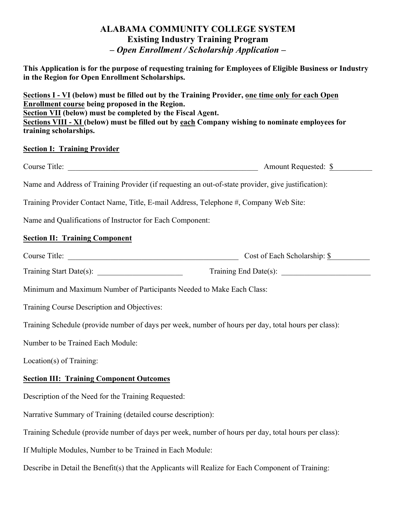# **ALABAMA COMMUNITY COLLEGE SYSTEM Existing Industry Training Program** *– Open Enrollment / Scholarship Application –*

**This Application is for the purpose of requesting training for Employees of Eligible Business or Industry in the Region for Open Enrollment Scholarships.** 

**Sections I - VI (below) must be filled out by the Training Provider, one time only for each Open Enrollment course being proposed in the Region. Section VII (below) must be completed by the Fiscal Agent. Sections VIII - XI (below) must be filled out by each Company wishing to nominate employees for training scholarships.**

#### **Section I: Training Provider**

Course Title: \_\_\_\_\_\_\_\_\_\_\_\_\_\_\_\_\_\_\_\_\_\_\_\_\_\_\_\_\_\_\_\_\_\_\_\_\_\_\_\_\_\_\_\_\_\_\_\_\_ Amount Requested: \$\_\_\_\_\_\_\_\_\_\_

Name and Address of Training Provider (if requesting an out-of-state provider, give justification):

Training Provider Contact Name, Title, E-mail Address, Telephone #, Company Web Site:

Name and Qualifications of Instructor for Each Component:

# **Section II: Training Component**

| Course Title: | Cost of Each Scholarship: \$ |
|---------------|------------------------------|
|               |                              |

| Training Start Date(s): | Fraining End Date(s): |  |
|-------------------------|-----------------------|--|
|                         |                       |  |

Minimum and Maximum Number of Participants Needed to Make Each Class:

Training Course Description and Objectives:

Training Schedule (provide number of days per week, number of hours per day, total hours per class):

Number to be Trained Each Module:

Location(s) of Training:

# **Section III: Training Component Outcomes**

Description of the Need for the Training Requested:

Narrative Summary of Training (detailed course description):

Training Schedule (provide number of days per week, number of hours per day, total hours per class):

If Multiple Modules, Number to be Trained in Each Module:

Describe in Detail the Benefit(s) that the Applicants will Realize for Each Component of Training: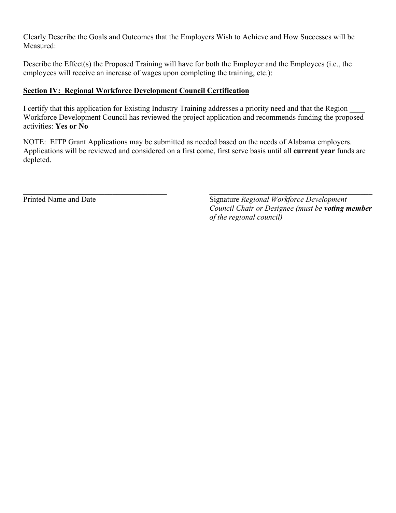Clearly Describe the Goals and Outcomes that the Employers Wish to Achieve and How Successes will be Measured:

Describe the Effect(s) the Proposed Training will have for both the Employer and the Employees (i.e., the employees will receive an increase of wages upon completing the training, etc.):

# **Section IV: Regional Workforce Development Council Certification**

I certify that this application for Existing Industry Training addresses a priority need and that the Region Workforce Development Council has reviewed the project application and recommends funding the proposed activities: **Yes or No**

NOTE: EITP Grant Applications may be submitted as needed based on the needs of Alabama employers. Applications will be reviewed and considered on a first come, first serve basis until all **current year** funds are depleted.

 $\mathcal{L}_\mathcal{L} = \mathcal{L}_\mathcal{L} = \mathcal{L}_\mathcal{L} = \mathcal{L}_\mathcal{L} = \mathcal{L}_\mathcal{L} = \mathcal{L}_\mathcal{L} = \mathcal{L}_\mathcal{L} = \mathcal{L}_\mathcal{L} = \mathcal{L}_\mathcal{L} = \mathcal{L}_\mathcal{L} = \mathcal{L}_\mathcal{L} = \mathcal{L}_\mathcal{L} = \mathcal{L}_\mathcal{L} = \mathcal{L}_\mathcal{L} = \mathcal{L}_\mathcal{L} = \mathcal{L}_\mathcal{L} = \mathcal{L}_\mathcal{L}$ 

Printed Name and Date Signature *Regional Workforce Development Council Chair or Designee (must be voting member of the regional council)*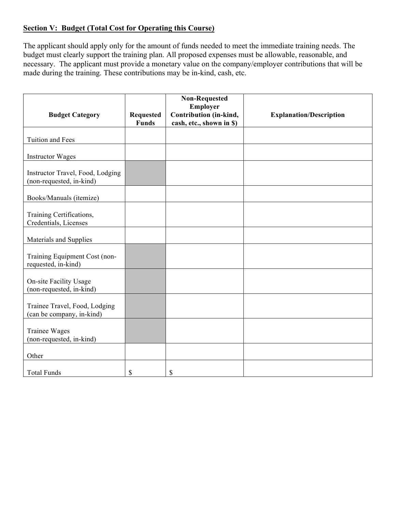# **Section V: Budget (Total Cost for Operating this Course)**

The applicant should apply only for the amount of funds needed to meet the immediate training needs. The budget must clearly support the training plan. All proposed expenses must be allowable, reasonable, and necessary. The applicant must provide a monetary value on the company/employer contributions that will be made during the training. These contributions may be in-kind, cash, etc.

| <b>Budget Category</b>                                       | <b>Requested</b><br><b>Funds</b> | <b>Non-Requested</b><br>Employer<br>Contribution (in-kind,<br>cash, etc., shown in \$) | <b>Explanation/Description</b> |
|--------------------------------------------------------------|----------------------------------|----------------------------------------------------------------------------------------|--------------------------------|
| Tuition and Fees                                             |                                  |                                                                                        |                                |
| <b>Instructor Wages</b>                                      |                                  |                                                                                        |                                |
| Instructor Travel, Food, Lodging<br>(non-requested, in-kind) |                                  |                                                                                        |                                |
| Books/Manuals (itemize)                                      |                                  |                                                                                        |                                |
| Training Certifications,<br>Credentials, Licenses            |                                  |                                                                                        |                                |
| Materials and Supplies                                       |                                  |                                                                                        |                                |
| Training Equipment Cost (non-<br>requested, in-kind)         |                                  |                                                                                        |                                |
| <b>On-site Facility Usage</b><br>(non-requested, in-kind)    |                                  |                                                                                        |                                |
| Trainee Travel, Food, Lodging<br>(can be company, in-kind)   |                                  |                                                                                        |                                |
| <b>Trainee Wages</b><br>(non-requested, in-kind)             |                                  |                                                                                        |                                |
| Other                                                        |                                  |                                                                                        |                                |
| <b>Total Funds</b>                                           | \$                               | \$                                                                                     |                                |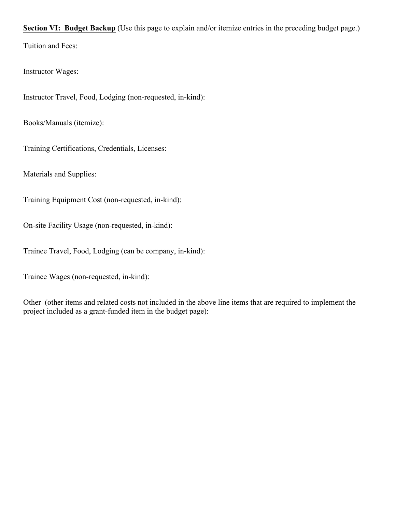**Section VI: Budget Backup** (Use this page to explain and/or itemize entries in the preceding budget page.) Tuition and Fees:

Instructor Wages:

Instructor Travel, Food, Lodging (non-requested, in-kind):

Books/Manuals (itemize):

Training Certifications, Credentials, Licenses:

Materials and Supplies:

Training Equipment Cost (non-requested, in-kind):

On-site Facility Usage (non-requested, in-kind):

Trainee Travel, Food, Lodging (can be company, in-kind):

Trainee Wages (non-requested, in-kind):

Other (other items and related costs not included in the above line items that are required to implement the project included as a grant-funded item in the budget page):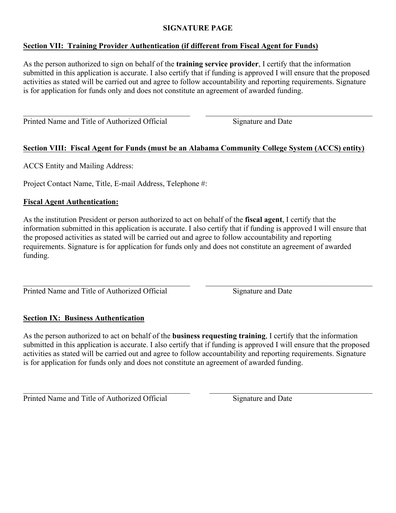## **SIGNATURE PAGE**

# **Section VII: Training Provider Authentication (if different from Fiscal Agent for Funds)**

As the person authorized to sign on behalf of the **training service provider**, I certify that the information submitted in this application is accurate. I also certify that if funding is approved I will ensure that the proposed activities as stated will be carried out and agree to follow accountability and reporting requirements. Signature is for application for funds only and does not constitute an agreement of awarded funding.

 $\_$  , and the contribution of the contribution of  $\mathcal{L}_\mathcal{A}$  , and the contribution of  $\mathcal{L}_\mathcal{A}$  , and the contribution of  $\mathcal{L}_\mathcal{A}$ 

Printed Name and Title of Authorized Official Signature and Date

# **Section VIII: Fiscal Agent for Funds (must be an Alabama Community College System (ACCS) entity)**

ACCS Entity and Mailing Address:

Project Contact Name, Title, E-mail Address, Telephone #:

#### **Fiscal Agent Authentication:**

As the institution President or person authorized to act on behalf of the **fiscal agent**, I certify that the information submitted in this application is accurate. I also certify that if funding is approved I will ensure that the proposed activities as stated will be carried out and agree to follow accountability and reporting requirements. Signature is for application for funds only and does not constitute an agreement of awarded funding.

 $\_$  , and the contribution of the contribution of  $\mathcal{L}_\mathcal{A}$  , and the contribution of  $\mathcal{L}_\mathcal{A}$  , and the contribution of  $\mathcal{L}_\mathcal{A}$ Printed Name and Title of Authorized Official Signature and Date

#### **Section IX: Business Authentication**

As the person authorized to act on behalf of the **business requesting training**, I certify that the information submitted in this application is accurate. I also certify that if funding is approved I will ensure that the proposed activities as stated will be carried out and agree to follow accountability and reporting requirements. Signature is for application for funds only and does not constitute an agreement of awarded funding.

 $\_$  , and the contribution of the contribution of the contribution of the contribution of  $\mathcal{L}_\mathcal{A}$ 

Printed Name and Title of Authorized Official Signature and Date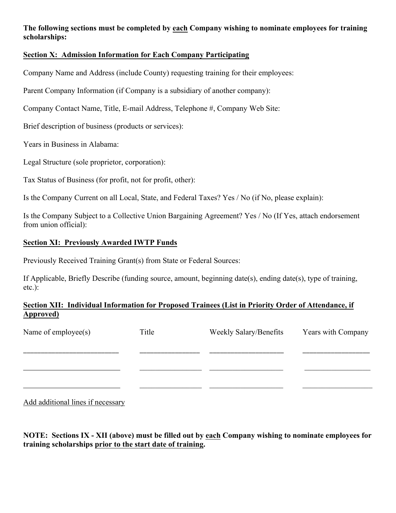# **The following sections must be completed by each Company wishing to nominate employees for training scholarships:**

# **Section X: Admission Information for Each Company Participating**

Company Name and Address (include County) requesting training for their employees:

Parent Company Information (if Company is a subsidiary of another company):

Company Contact Name, Title, E-mail Address, Telephone #, Company Web Site:

Brief description of business (products or services):

Years in Business in Alabama:

Legal Structure (sole proprietor, corporation):

Tax Status of Business (for profit, not for profit, other):

Is the Company Current on all Local, State, and Federal Taxes? Yes / No (if No, please explain):

Is the Company Subject to a Collective Union Bargaining Agreement? Yes / No (If Yes, attach endorsement from union official):

## **Section XI: Previously Awarded IWTP Funds**

Previously Received Training Grant(s) from State or Federal Sources:

If Applicable, Briefly Describe (funding source, amount, beginning date(s), ending date(s), type of training, etc.):

# **Section XII: Individual Information for Proposed Trainees (List in Priority Order of Attendance, if Approved)**

| Name of employee(s) | Title | Weekly Salary/Benefits | Years with Company |
|---------------------|-------|------------------------|--------------------|
|                     |       |                        |                    |
|                     |       |                        |                    |
|                     |       |                        |                    |

Add additional lines if necessary

**NOTE: Sections IX - XII (above) must be filled out by each Company wishing to nominate employees for training scholarships prior to the start date of training.**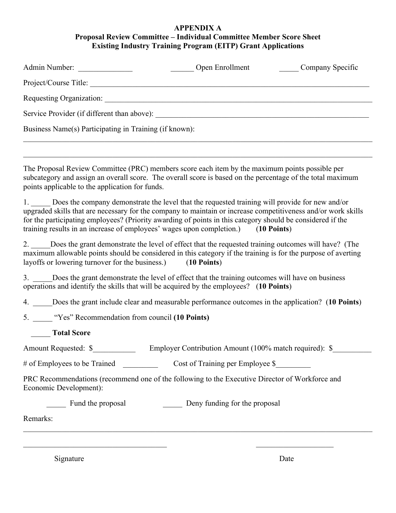#### **APPENDIX A Proposal Review Committee – Individual Committee Member Score Sheet Existing Industry Training Program (EITP) Grant Applications**

| Admin Number:                                          | Open Enrollment | Company Specific |  |  |
|--------------------------------------------------------|-----------------|------------------|--|--|
| Project/Course Title:                                  |                 |                  |  |  |
| Requesting Organization:                               |                 |                  |  |  |
| Service Provider (if different than above):            |                 |                  |  |  |
| Business Name(s) Participating in Training (if known): |                 |                  |  |  |
|                                                        |                 |                  |  |  |

 $\mathcal{L}_\mathcal{L} = \mathcal{L}_\mathcal{L} = \mathcal{L}_\mathcal{L} = \mathcal{L}_\mathcal{L} = \mathcal{L}_\mathcal{L} = \mathcal{L}_\mathcal{L} = \mathcal{L}_\mathcal{L} = \mathcal{L}_\mathcal{L} = \mathcal{L}_\mathcal{L} = \mathcal{L}_\mathcal{L} = \mathcal{L}_\mathcal{L} = \mathcal{L}_\mathcal{L} = \mathcal{L}_\mathcal{L} = \mathcal{L}_\mathcal{L} = \mathcal{L}_\mathcal{L} = \mathcal{L}_\mathcal{L} = \mathcal{L}_\mathcal{L}$ 

The Proposal Review Committee (PRC) members score each item by the maximum points possible per subcategory and assign an overall score. The overall score is based on the percentage of the total maximum points applicable to the application for funds.

1. Does the company demonstrate the level that the requested training will provide for new and/or upgraded skills that are necessary for the company to maintain or increase competitiveness and/or work skills for the participating employees? (Priority awarding of points in this category should be considered if the training results in an increase of employees' wages upon completion.) (**10 Points**)

2. Does the grant demonstrate the level of effect that the requested training outcomes will have? (The maximum allowable points should be considered in this category if the training is for the purpose of averting layoffs or lowering turnover for the business.) (**10 Points**)

3. \_\_\_\_\_Does the grant demonstrate the level of effect that the training outcomes will have on business operations and identify the skills that will be acquired by the employees? (**10 Points**)

4. \_\_\_\_\_Does the grant include clear and measurable performance outcomes in the application? (**10 Points**)

5. \_\_\_\_\_ "Yes" Recommendation from council **(10 Points)**

\_\_\_\_\_ **Total Score**

Amount Requested:  $\$\$  Employer Contribution Amount (100% match required):  $\$$ 

# of Employees to be Trained \_\_\_\_\_\_\_\_\_\_\_\_\_ Cost of Training per Employee \$\_\_\_\_\_\_

PRC Recommendations (recommend one of the following to the Executive Director of Workforce and Economic Development):

 $\mathcal{L}_\text{max}$  , and the contribution of the contribution of the contribution of the contribution of the contribution of the contribution of the contribution of the contribution of the contribution of the contribution of t

 $\mathcal{L}_\mathcal{L} = \mathcal{L}_\mathcal{L} = \mathcal{L}_\mathcal{L} = \mathcal{L}_\mathcal{L} = \mathcal{L}_\mathcal{L} = \mathcal{L}_\mathcal{L} = \mathcal{L}_\mathcal{L} = \mathcal{L}_\mathcal{L} = \mathcal{L}_\mathcal{L} = \mathcal{L}_\mathcal{L} = \mathcal{L}_\mathcal{L} = \mathcal{L}_\mathcal{L} = \mathcal{L}_\mathcal{L} = \mathcal{L}_\mathcal{L} = \mathcal{L}_\mathcal{L} = \mathcal{L}_\mathcal{L} = \mathcal{L}_\mathcal{L}$ 

**EXECUTE:** Fund the proposal Funding for the proposal Deny funding for the proposal

Remarks:

Signature Date